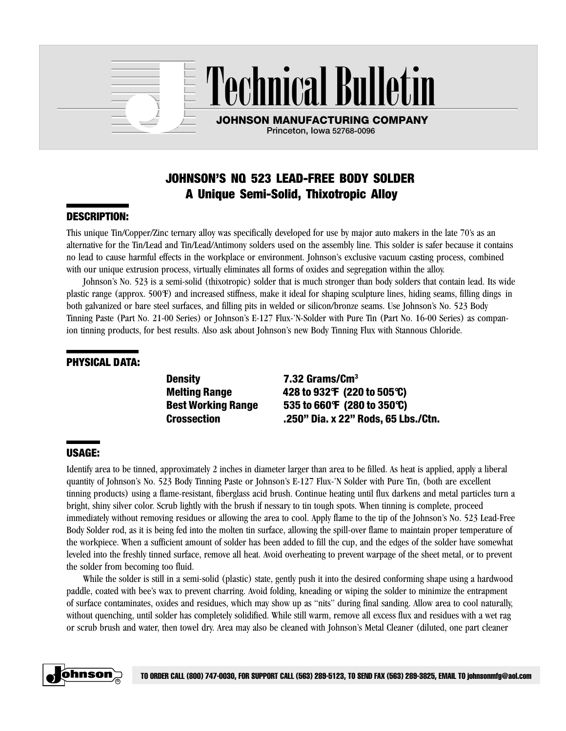

Technical Bulletin

JOHNSON MANUFACTURING COMPANY Princeton, Iowa 52768-0096

# JOHNSON'S NO. 523 LEAD-FREE BODY SOLDER A Unique Semi-Solid, Thixotropic Alloy

## DESCRIPTION:

This unique Tin/Copper/Zinc ternary alloy was specifically developed for use by major auto makers in the late 70's as an alternative for the Tin/Lead and Tin/Lead/Antimony solders used on the assembly line. This solder is safer because it contains no lead to cause harmful effects in the workplace or environment. Johnson's exclusive vacuum casting process, combined with our unique extrusion process, virtually eliminates all forms of oxides and segregation within the alloy.

Johnson's No. 523 is a semi-solid (thixotropic) solder that is much stronger than body solders that contain lead. Its wide plastic range (approx. 500°F) and increased stiffness, make it ideal for shaping sculpture lines, hiding seams, filling dings in both galvanized or bare steel surfaces, and filling pits in welded or silicon/bronze seams. Use Johnson's No. 523 Body Tinning Paste (Part No. 21-00 Series) or Johnson's E-127 Flux-'N-Solder with Pure Tin (Part No. 16-00 Series) as companion tinning products, for best results. Also ask about Johnson's new Body Tinning Flux with Stannous Chloride.

## PHYSICAL DATA:

Density 7.32 Grams/Cm<sup>3</sup>

Melting Range 428 to 932°F (220 to 505°C) Best Working Range 535 to 660°F (280 to 350°C) Crossection .250" Dia. x 22" Rods, 65 Lbs./Ctn.

# USAGE:

Identify area to be tinned, approximately 2 inches in diameter larger than area to be filled. As heat is applied, apply a liberal quantity of Johnson's No. 523 Body Tinning Paste or Johnson's E-127 Flux-'N Solder with Pure Tin, (both are excellent tinning products) using a flame-resistant, fiberglass acid brush. Continue heating until flux darkens and metal particles turn a bright, shiny silver color. Scrub lightly with the brush if nessary to tin tough spots. When tinning is complete, proceed immediately without removing residues or allowing the area to cool. Apply flame to the tip of the Johnson's No. 523 Lead-Free Body Solder rod, as it is being fed into the molten tin surface, allowing the spill-over flame to maintain proper temperature of the workpiece. When a sufficient amount of solder has been added to fill the cup, and the edges of the solder have somewhat leveled into the freshly tinned surface, remove all heat. Avoid overheating to prevent warpage of the sheet metal, or to prevent the solder from becoming too fluid.

While the solder is still in a semi-solid (plastic) state, gently push it into the desired conforming shape using a hardwood paddle, coated with bee's wax to prevent charring. Avoid folding, kneading or wiping the solder to minimize the entrapment of surface contaminates, oxides and residues, which may show up as "nits" during final sanding. Allow area to cool naturally, without quenching, until solder has completely solidified. While still warm, remove all excess flux and residues with a wet rag or scrub brush and water, then towel dry. Area may also be cleaned with Johnson's Metal Cleaner (diluted, one part cleaner